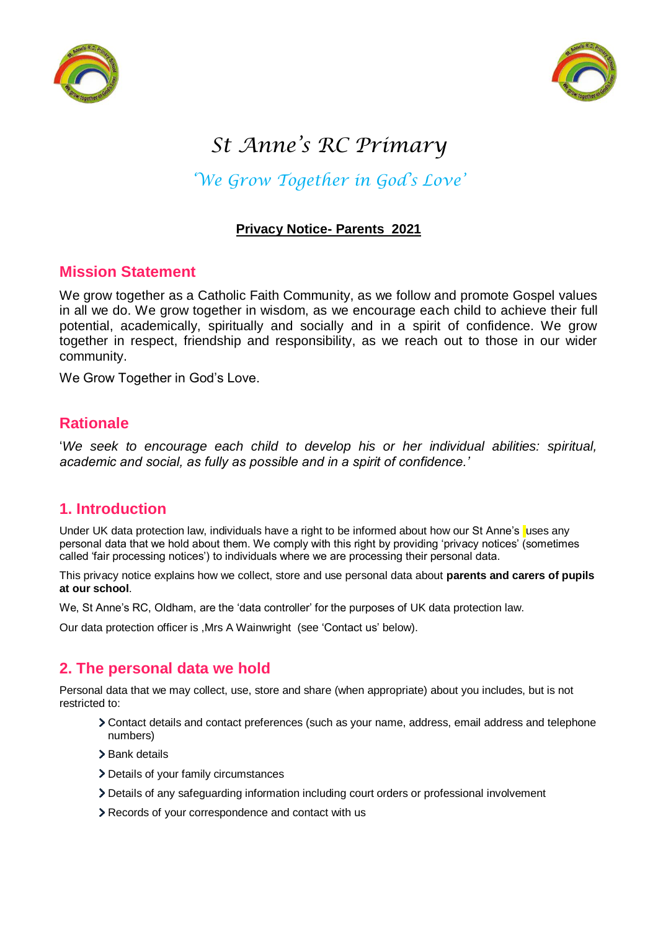



# *St Anne's RC Primary*

## *'We Grow Together in God's Love'*

## **Privacy Notice- Parents 2021**

## **Mission Statement**

We grow together as a Catholic Faith Community, as we follow and promote Gospel values in all we do. We grow together in wisdom, as we encourage each child to achieve their full potential, academically, spiritually and socially and in a spirit of confidence. We grow together in respect, friendship and responsibility, as we reach out to those in our wider community.

We Grow Together in God's Love.

## **Rationale**

'*We seek to encourage each child to develop his or her individual abilities: spiritual, academic and social, as fully as possible and in a spirit of confidence.'*

## **1. Introduction**

Under UK data protection law, individuals have a right to be informed about how our St Anne's uses any personal data that we hold about them. We comply with this right by providing 'privacy notices' (sometimes called 'fair processing notices') to individuals where we are processing their personal data.

This privacy notice explains how we collect, store and use personal data about **parents and carers of pupils at our school**.

We, St Anne's RC, Oldham, are the 'data controller' for the purposes of UK data protection law.

Our data protection officer is ,Mrs A Wainwright (see 'Contact us' below).

## **2. The personal data we hold**

Personal data that we may collect, use, store and share (when appropriate) about you includes, but is not restricted to:

- Contact details and contact preferences (such as your name, address, email address and telephone numbers)
- > Bank details
- > Details of your family circumstances
- Details of any safeguarding information including court orders or professional involvement
- Records of your correspondence and contact with us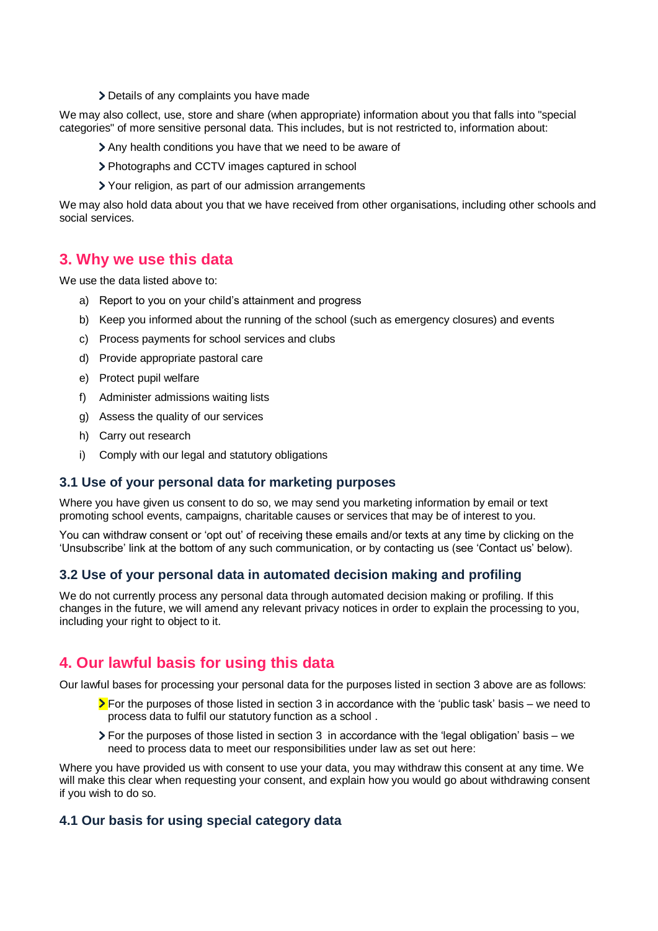Details of any complaints you have made

We may also collect, use, store and share (when appropriate) information about you that falls into "special categories" of more sensitive personal data. This includes, but is not restricted to, information about:

- Any health conditions you have that we need to be aware of
- Photographs and CCTV images captured in school
- Your religion, as part of our admission arrangements

We may also hold data about you that we have received from other organisations, including other schools and social services.

## **3. Why we use this data**

We use the data listed above to:

- a) Report to you on your child's attainment and progress
- b) Keep you informed about the running of the school (such as emergency closures) and events
- c) Process payments for school services and clubs
- d) Provide appropriate pastoral care
- e) Protect pupil welfare
- f) Administer admissions waiting lists
- g) Assess the quality of our services
- h) Carry out research
- i) Comply with our legal and statutory obligations

#### **3.1 Use of your personal data for marketing purposes**

Where you have given us consent to do so, we may send you marketing information by email or text promoting school events, campaigns, charitable causes or services that may be of interest to you.

You can withdraw consent or 'opt out' of receiving these emails and/or texts at any time by clicking on the 'Unsubscribe' link at the bottom of any such communication, or by contacting us (see 'Contact us' below).

#### **3.2 Use of your personal data in automated decision making and profiling**

We do not currently process any personal data through automated decision making or profiling. If this changes in the future, we will amend any relevant privacy notices in order to explain the processing to you, including your right to object to it.

## **4. Our lawful basis for using this data**

Our lawful bases for processing your personal data for the purposes listed in section 3 above are as follows:

- **For the purposes of those listed in section 3 in accordance with the 'public task' basis we need to** process data to fulfil our statutory function as a school .
- $\geq$  For the purposes of those listed in section 3 in accordance with the 'legal obligation' basis we need to process data to meet our responsibilities under law as set out here:

Where you have provided us with consent to use your data, you may withdraw this consent at any time. We will make this clear when requesting your consent, and explain how you would go about withdrawing consent if you wish to do so.

#### **4.1 Our basis for using special category data**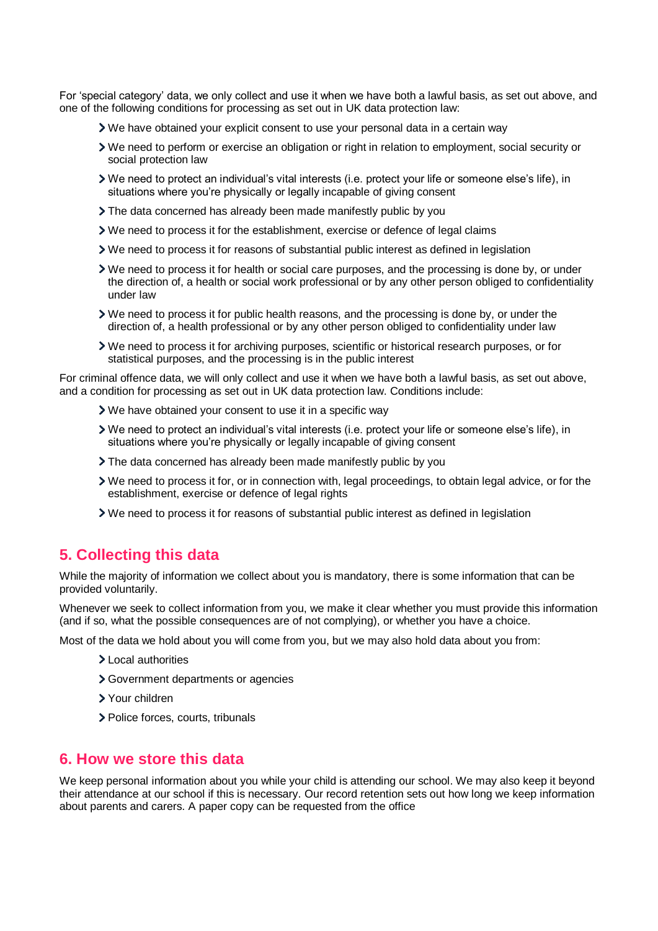For 'special category' data, we only collect and use it when we have both a lawful basis, as set out above, and one of the following conditions for processing as set out in UK data protection law:

- We have obtained your explicit consent to use your personal data in a certain way
- We need to perform or exercise an obligation or right in relation to employment, social security or social protection law
- We need to protect an individual's vital interests (i.e. protect your life or someone else's life), in situations where you're physically or legally incapable of giving consent
- The data concerned has already been made manifestly public by you
- We need to process it for the establishment, exercise or defence of legal claims
- We need to process it for reasons of substantial public interest as defined in legislation
- We need to process it for health or social care purposes, and the processing is done by, or under the direction of, a health or social work professional or by any other person obliged to confidentiality under law
- We need to process it for public health reasons, and the processing is done by, or under the direction of, a health professional or by any other person obliged to confidentiality under law
- We need to process it for archiving purposes, scientific or historical research purposes, or for statistical purposes, and the processing is in the public interest

For criminal offence data, we will only collect and use it when we have both a lawful basis, as set out above, and a condition for processing as set out in UK data protection law. Conditions include:

- We have obtained your consent to use it in a specific way
- We need to protect an individual's vital interests (i.e. protect your life or someone else's life), in situations where you're physically or legally incapable of giving consent
- The data concerned has already been made manifestly public by you
- We need to process it for, or in connection with, legal proceedings, to obtain legal advice, or for the establishment, exercise or defence of legal rights
- We need to process it for reasons of substantial public interest as defined in legislation

## **5. Collecting this data**

While the majority of information we collect about you is mandatory, there is some information that can be provided voluntarily.

Whenever we seek to collect information from you, we make it clear whether you must provide this information (and if so, what the possible consequences are of not complying), or whether you have a choice.

Most of the data we hold about you will come from you, but we may also hold data about you from:

- > Local authorities
- Government departments or agencies
- Your children
- > Police forces, courts, tribunals

#### **6. How we store this data**

We keep personal information about you while your child is attending our school. We may also keep it beyond their attendance at our school if this is necessary. Our record retention sets out how long we keep information about parents and carers. A paper copy can be requested from the office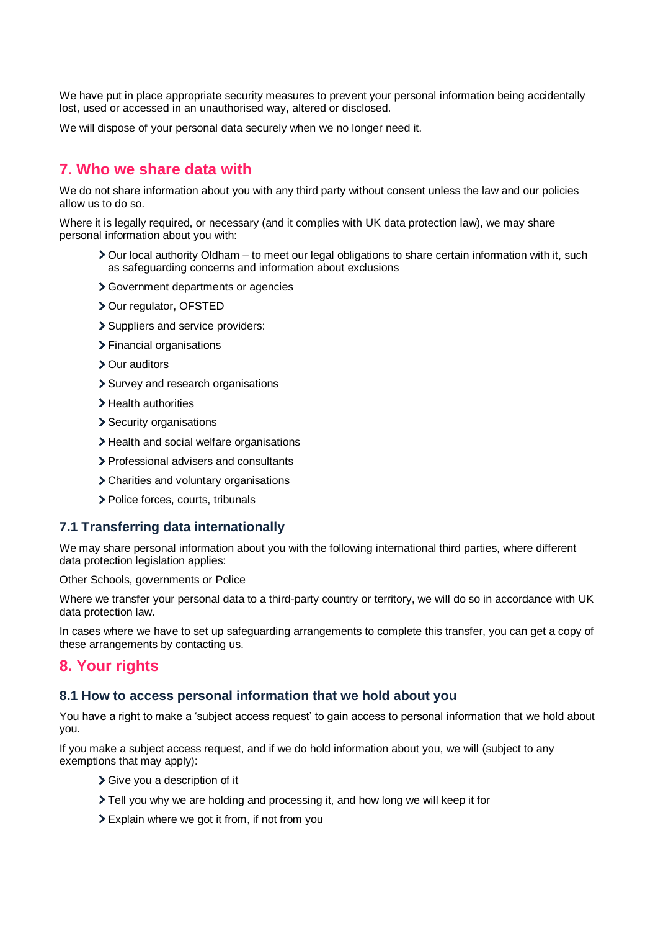We have put in place appropriate security measures to prevent your personal information being accidentally lost, used or accessed in an unauthorised way, altered or disclosed.

We will dispose of your personal data securely when we no longer need it.

## **7. Who we share data with**

We do not share information about you with any third party without consent unless the law and our policies allow us to do so.

Where it is legally required, or necessary (and it complies with UK data protection law), we may share personal information about you with:

- Our local authority Oldham to meet our legal obligations to share certain information with it, such as safeguarding concerns and information about exclusions
- Government departments or agencies
- > Our regulator, OFSTED
- > Suppliers and service providers:
- > Financial organisations
- Our auditors
- > Survey and research organisations
- > Health authorities
- > Security organisations
- > Health and social welfare organisations
- > Professional advisers and consultants
- Charities and voluntary organisations
- > Police forces, courts, tribunals

#### **7.1 Transferring data internationally**

We may share personal information about you with the following international third parties, where different data protection legislation applies:

Other Schools, governments or Police

Where we transfer your personal data to a third-party country or territory, we will do so in accordance with UK data protection law.

In cases where we have to set up safeguarding arrangements to complete this transfer, you can get a copy of these arrangements by contacting us.

#### **8. Your rights**

#### **8.1 How to access personal information that we hold about you**

You have a right to make a 'subject access request' to gain access to personal information that we hold about you.

If you make a subject access request, and if we do hold information about you, we will (subject to any exemptions that may apply):

- Give you a description of it
- Tell you why we are holding and processing it, and how long we will keep it for
- Explain where we got it from, if not from you